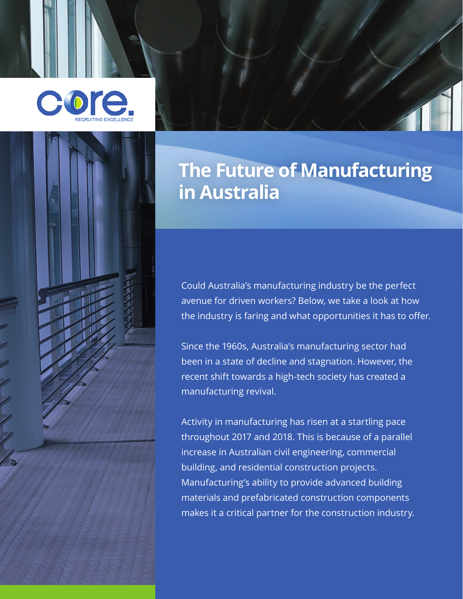



Could Australia's manufacturing industry be the perfect avenue for driven workers? Below, we take a look at how the industry is faring and what opportunities it has to offer.

Since the 1960s, Australia's manufacturing sector had been in a state of decline and stagnation. However, the recent shift towards a high-tech society has created a manufacturing revival.

Activity in manufacturing has risen at a startling pace throughout 2017 and 2018. This is because of a parallel increase in Australian civil engineering, commercial building, and residential construction projects. Manufacturing's ability to provide advanced building materials and prefabricated construction components makes it a critical partner for the construction industry.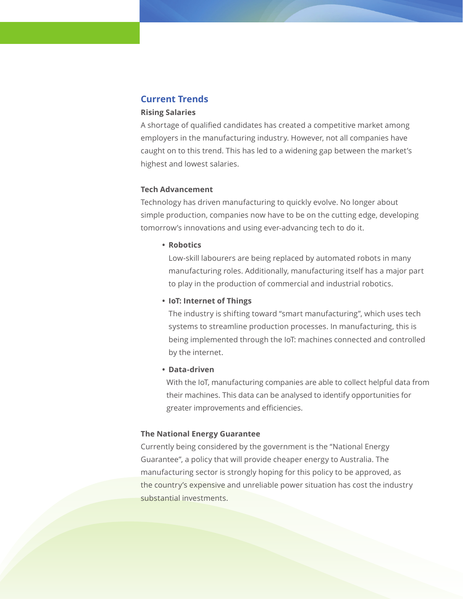# **Current Trends**

#### **Rising Salaries**

A shortage of qualified candidates has created a competitive market among employers in the manufacturing industry. However, not all companies have caught on to this trend. This has led to a widening gap between the market's highest and lowest salaries.

#### **Tech Advancement**

Technology has driven manufacturing to quickly evolve. No longer about simple production, companies now have to be on the cutting edge, developing tomorrow's innovations and using ever-advancing tech to do it.

### **• Robotics**

Low-skill labourers are being replaced by automated robots in many manufacturing roles. Additionally, manufacturing itself has a major part to play in the production of commercial and industrial robotics.

### **• IoT: Internet of Things**

The industry is shifting toward "smart manufacturing", which uses tech systems to streamline production processes. In manufacturing, this is being implemented through the IoT: machines connected and controlled by the internet.

#### **• Data-driven**

With the IoT, manufacturing companies are able to collect helpful data from their machines. This data can be analysed to identify opportunities for greater improvements and efficiencies.

### **The National Energy Guarantee**

Currently being considered by the government is the "National Energy Guarantee", a policy that will provide cheaper energy to Australia. The manufacturing sector is strongly hoping for this policy to be approved, as the country's expensive and unreliable power situation has cost the industry substantial investments.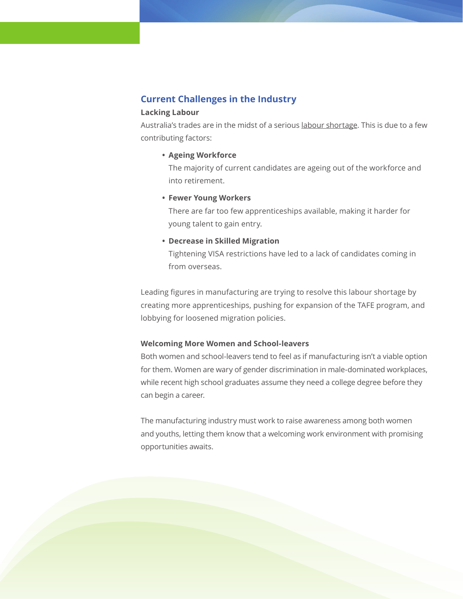# **Current Challenges in the Industry**

#### **Lacking Labour**

Australia's trades are in the midst of a serious [labour shortage](https://sourceable.net/is-australia-heading-for-a-construction-trade-shortage/). This is due to a few contributing factors:

**• Ageing Workforce**

The majority of current candidates are ageing out of the workforce and into retirement.

**• Fewer Young Workers**

There are far too few apprenticeships available, making it harder for young talent to gain entry.

**• Decrease in Skilled Migration**

Tightening VISA restrictions have led to a lack of candidates coming in from overseas.

Leading figures in manufacturing are trying to resolve this labour shortage by creating more apprenticeships, pushing for expansion of the TAFE program, and lobbying for loosened migration policies.

### **Welcoming More Women and School-leavers**

Both women and school-leavers tend to feel as if manufacturing isn't a viable option for them. Women are wary of gender discrimination in male-dominated workplaces, while recent high school graduates assume they need a college degree before they can begin a career.

The manufacturing industry must work to raise awareness among both women and youths, letting them know that a welcoming work environment with promising opportunities awaits.